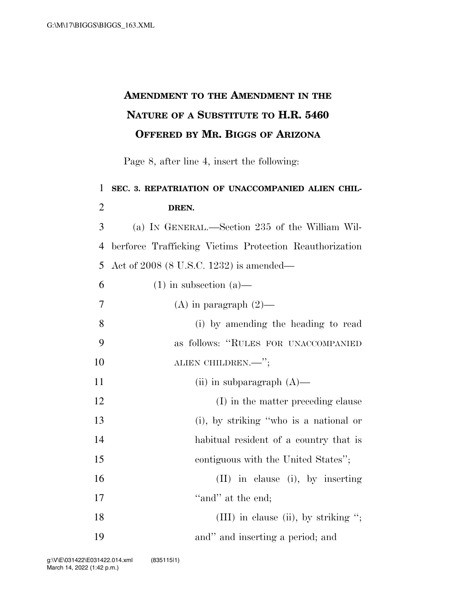## **AMENDMENT TO THE AMENDMENT IN THE NATURE OF A SUBSTITUTE TO H.R. 5460 OFFERED BY MR. BIGGS OF ARIZONA**

Page 8, after line 4, insert the following:

## 1 **SEC. 3. REPATRIATION OF UNACCOMPANIED ALIEN CHIL-**2 **DREN.**  3 (a) IN GENERAL.—Section 235 of the William Wil-4 berforce Trafficking Victims Protection Reauthorization 5 Act of 2008 (8 U.S.C. 1232) is amended— 6 (1) in subsection (a) 7 (A) in paragraph  $(2)$ — 8 (i) by amending the heading to read 9 as follows: ''RULES FOR UNACCOMPANIED 10 ALIEN CHILDREN.—"; 11 (ii) in subparagraph  $(A)$ — 12 (I) in the matter preceding clause 13 (i), by striking ''who is a national or 14 habitual resident of a country that is 15 contiguous with the United States''; 16 (II) in clause (i), by inserting 17 ''and'' at the end; 18 (III) in clause (ii), by striking "; 19 and'' and inserting a period; and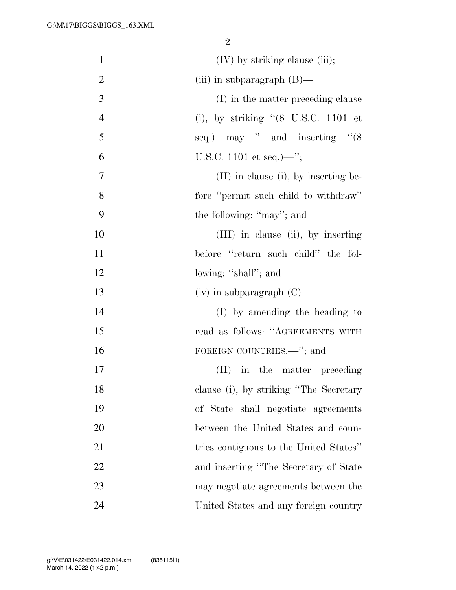| $\mathbf{1}$   | $(IV)$ by striking clause (iii);                       |
|----------------|--------------------------------------------------------|
| $\overline{2}$ | (iii) in subparagraph $(B)$ —                          |
| 3              | (I) in the matter preceding clause                     |
| $\overline{4}$ | (i), by striking $(8 \text{ U.S.C. } 1101 \text{ et})$ |
| 5              | seq.) may—" and inserting " $(8$                       |
| 6              | U.S.C. 1101 et seq.)—";                                |
| 7              | (II) in clause (i), by inserting be-                   |
| 8              | fore "permit such child to withdraw"                   |
| 9              | the following: "may"; and                              |
| 10             | (III) in clause (ii), by inserting                     |
| 11             | before "return such child" the fol-                    |
| 12             | lowing: "shall"; and                                   |
| 13             | $(iv)$ in subparagraph $(C)$ —                         |
| 14             | (I) by amending the heading to                         |
| 15             | read as follows: "AGREEMENTS WITH                      |
| 16             | FOREIGN COUNTRIES.—"; and                              |
| 17             | in the matter preceding<br>$(\Pi)^{\mathsf{T}}$        |
| 18             | clause (i), by striking "The Secretary                 |
| 19             | of State shall negotiate agreements                    |
| 20             | between the United States and coun-                    |
| 21             | tries contiguous to the United States"                 |
| 22             | and inserting "The Secretary of State                  |
| 23             | may negotiate agreements between the                   |
| 24             | United States and any foreign country                  |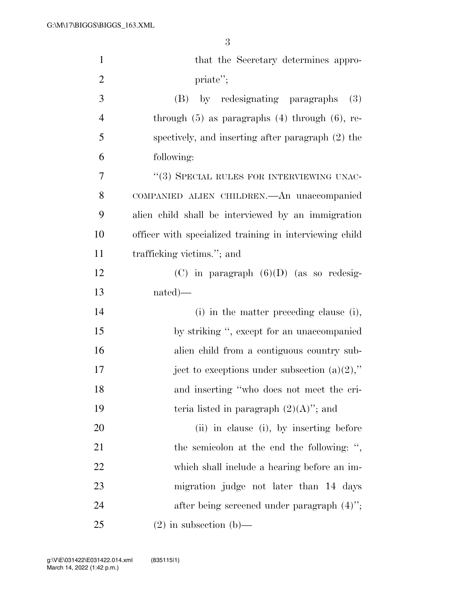| $\mathbf{1}$   | that the Secretary determines appro-                    |
|----------------|---------------------------------------------------------|
| $\overline{2}$ | priate";                                                |
| 3              | (B)<br>by redesignating paragraphs<br>(3)               |
| $\overline{4}$ | through $(5)$ as paragraphs $(4)$ through $(6)$ , re-   |
| 5              | spectively, and inserting after paragraph (2) the       |
| 6              | following:                                              |
| 7              | "(3) SPECIAL RULES FOR INTERVIEWING UNAC-               |
| 8              | COMPANIED ALIEN CHILDREN. An unaccompanied              |
| 9              | alien child shall be interviewed by an immigration      |
| 10             | officer with specialized training in interviewing child |
| 11             | trafficking victims."; and                              |
| 12             | $(C)$ in paragraph $(6)(D)$ (as so redesig-             |
| 13             | $nated)$ —                                              |
| 14             | (i) in the matter preceding clause (i),                 |
| 15             | by striking ", except for an unaccompanied              |
| 16             | alien child from a contiguous country sub-              |
| 17             | ject to exceptions under subsection $(a)(2)$ ,"         |
| 18             | and inserting "who does not meet the cri-               |
| 19             | teria listed in paragraph $(2)(A)$ "; and               |
| 20             | (ii) in clause (i), by inserting before                 |
| 21             | the semicolon at the end the following: ",              |
| 22             | which shall include a hearing before an im-             |
| 23             | migration judge not later than 14 days                  |
| 24             | after being screened under paragraph $(4)$ ";           |
| 25             | $(2)$ in subsection $(b)$ —                             |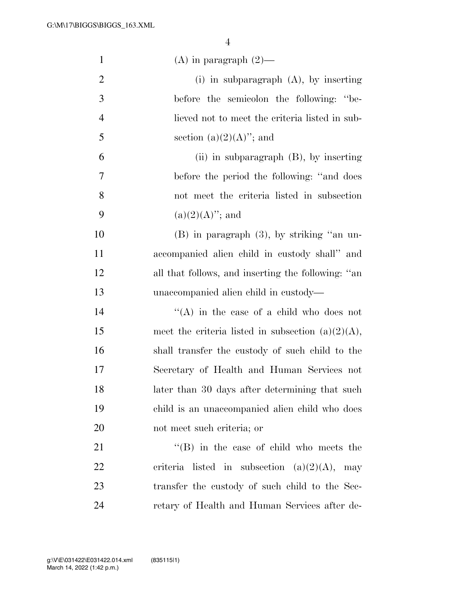| $\mathbf{1}$   | $(A)$ in paragraph $(2)$ —                           |
|----------------|------------------------------------------------------|
| $\overline{2}$ | (i) in subparagraph $(A)$ , by inserting             |
| 3              | before the semicolon the following: "be-             |
| $\overline{4}$ | lieved not to meet the criteria listed in sub-       |
| 5              | section $(a)(2)(A)$ "; and                           |
| 6              | (ii) in subparagraph $(B)$ , by inserting            |
| 7              | before the period the following: "and does"          |
| 8              | not meet the criteria listed in subsection           |
| 9              | $(a)(2)(A)$ "; and                                   |
| 10             | $(B)$ in paragraph $(3)$ , by striking "an un-       |
| 11             | accompanied alien child in custody shall" and        |
| 12             | all that follows, and inserting the following: "an   |
| 13             | unaccompanied alien child in custody—                |
| 14             | $\lq\lq$ in the case of a child who does not         |
| 15             | meet the criteria listed in subsection $(a)(2)(A)$ , |
| 16             | shall transfer the custody of such child to the      |
| 17             | Secretary of Health and Human Services not           |
| 18             | later than 30 days after determining that such       |
| 19             | child is an unaccompanied alien child who does       |
| 20             | not meet such criteria; or                           |
| 21             | $\lq\lq$ (B) in the case of child who meets the      |
| 22             | criteria listed in subsection $(a)(2)(A)$ , may      |
| 23             | transfer the custody of such child to the Sec-       |
| 24             | retary of Health and Human Services after de-        |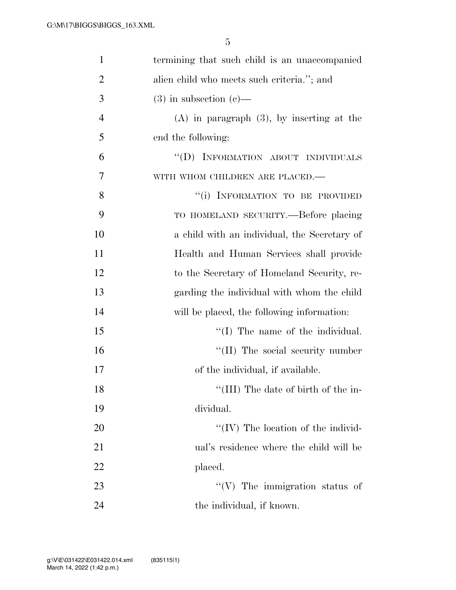| $\mathbf{1}$   | termining that such child is an unaccompanied  |
|----------------|------------------------------------------------|
| $\overline{2}$ | alien child who meets such criteria."; and     |
| 3              | $(3)$ in subsection $(e)$ —                    |
| $\overline{4}$ | $(A)$ in paragraph $(3)$ , by inserting at the |
| 5              | end the following:                             |
| 6              | "(D) INFORMATION ABOUT INDIVIDUALS             |
| 7              | WITH WHOM CHILDREN ARE PLACED.-                |
| 8              | "(i) INFORMATION TO BE PROVIDED                |
| 9              | TO HOMELAND SECURITY.--Before placing          |
| 10             | a child with an individual, the Secretary of   |
| 11             | Health and Human Services shall provide        |
| 12             | to the Secretary of Homeland Security, re-     |
| 13             | garding the individual with whom the child     |
| 14             | will be placed, the following information:     |
| 15             | $\lq\lq$ (I) The name of the individual.       |
| 16             | "(II) The social security number               |
| 17             | of the individual, if available.               |
| 18             | "(III) The date of birth of the in-            |
| 19             | dividual.                                      |
| 20             | $``(IV)$ The location of the individ-          |
| 21             | ual's residence where the child will be        |
| 22             | placed.                                        |
| 23             | $\lq\lq$ (V) The immigration status of         |
| 24             | the individual, if known.                      |